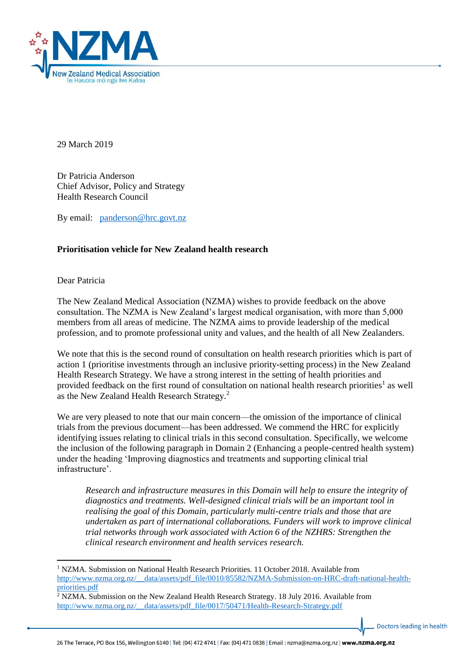

29 March 2019

Dr Patricia Anderson Chief Advisor, Policy and Strategy Health Research Council

By email: [panderson@hrc.govt.nz](mailto:panderson@hrc.govt.nz)

# **Prioritisation vehicle for New Zealand health research**

Dear Patricia

1

The New Zealand Medical Association (NZMA) wishes to provide feedback on the above consultation. The NZMA is New Zealand's largest medical organisation, with more than 5,000 members from all areas of medicine. The NZMA aims to provide leadership of the medical profession, and to promote professional unity and values, and the health of all New Zealanders.

We note that this is the second round of consultation on health research priorities which is part of action 1 (prioritise investments through an inclusive priority-setting process) in the New Zealand Health Research Strategy. We have a strong interest in the setting of health priorities and provided feedback on the first round of consultation on national health research priorities<sup>1</sup> as well as the New Zealand Health Research Strategy.<sup>2</sup>

We are very pleased to note that our main concern—the omission of the importance of clinical trials from the previous document—has been addressed. We commend the HRC for explicitly identifying issues relating to clinical trials in this second consultation. Specifically, we welcome the inclusion of the following paragraph in Domain 2 (Enhancing a people-centred health system) under the heading 'Improving diagnostics and treatments and supporting clinical trial infrastructure'.

*Research and infrastructure measures in this Domain will help to ensure the integrity of diagnostics and treatments. Well-designed clinical trials will be an important tool in realising the goal of this Domain, particularly multi-centre trials and those that are undertaken as part of international collaborations. Funders will work to improve clinical trial networks through work associated with Action 6 of the NZHRS: Strengthen the clinical research environment and health services research.*

Doctors leading in health

<sup>1</sup> NZMA. Submission on National Health Research Priorities. 11 October 2018. Available from [http://www.nzma.org.nz/\\_\\_data/assets/pdf\\_file/0010/85582/NZMA-Submission-on-HRC-draft-national-health](http://www.nzma.org.nz/__data/assets/pdf_file/0010/85582/NZMA-Submission-on-HRC-draft-national-health-priorities.pdf)[priorities.pdf](http://www.nzma.org.nz/__data/assets/pdf_file/0010/85582/NZMA-Submission-on-HRC-draft-national-health-priorities.pdf)

<sup>&</sup>lt;sup>2</sup> NZMA. Submission on the New Zealand Health Research Strategy. 18 July 2016. Available from [http://www.nzma.org.nz/\\_\\_data/assets/pdf\\_file/0017/50471/Health-Research-Strategy.pdf](http://www.nzma.org.nz/__data/assets/pdf_file/0017/50471/Health-Research-Strategy.pdf)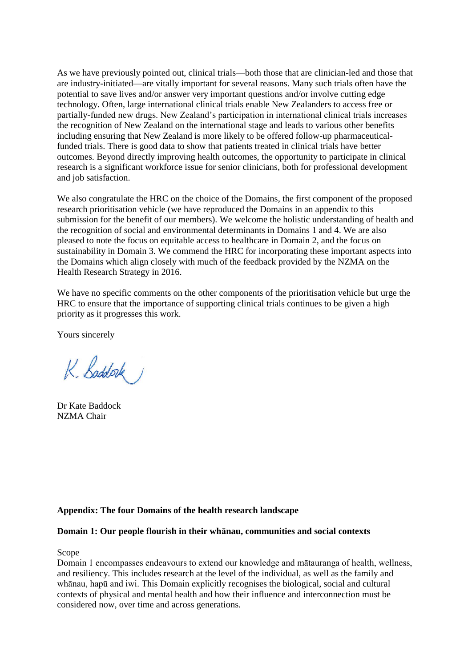As we have previously pointed out, clinical trials—both those that are clinician-led and those that are industry-initiated—are vitally important for several reasons. Many such trials often have the potential to save lives and/or answer very important questions and/or involve cutting edge technology. Often, large international clinical trials enable New Zealanders to access free or partially-funded new drugs. New Zealand's participation in international clinical trials increases the recognition of New Zealand on the international stage and leads to various other benefits including ensuring that New Zealand is more likely to be offered follow-up pharmaceuticalfunded trials. There is good data to show that patients treated in clinical trials have better outcomes. Beyond directly improving health outcomes, the opportunity to participate in clinical research is a significant workforce issue for senior clinicians, both for professional development and job satisfaction.

We also congratulate the HRC on the choice of the Domains, the first component of the proposed research prioritisation vehicle (we have reproduced the Domains in an appendix to this submission for the benefit of our members). We welcome the holistic understanding of health and the recognition of social and environmental determinants in Domains 1 and 4. We are also pleased to note the focus on equitable access to healthcare in Domain 2, and the focus on sustainability in Domain 3. We commend the HRC for incorporating these important aspects into the Domains which align closely with much of the feedback provided by the NZMA on the Health Research Strategy in 2016.

We have no specific comments on the other components of the prioritisation vehicle but urge the HRC to ensure that the importance of supporting clinical trials continues to be given a high priority as it progresses this work.

Yours sincerely

K. Baddock

Dr Kate Baddock NZMA Chair

## **Appendix: The four Domains of the health research landscape**

### **Domain 1: Our people flourish in their whānau, communities and social contexts**

Scope

Domain 1 encompasses endeavours to extend our knowledge and mātauranga of health, wellness, and resiliency. This includes research at the level of the individual, as well as the family and whānau, hapū and iwi. This Domain explicitly recognises the biological, social and cultural contexts of physical and mental health and how their influence and interconnection must be considered now, over time and across generations.